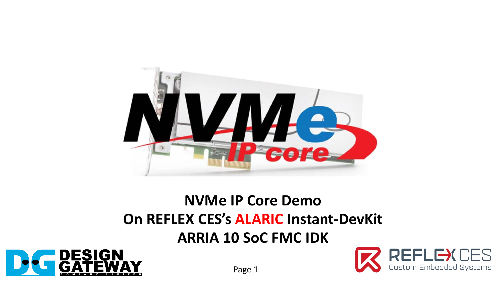

### **NVMe IP Core Demo On REFLEX CES's ALARIC Instant-DevKit ARRIA 10 SoC FMC IDK**





Page 1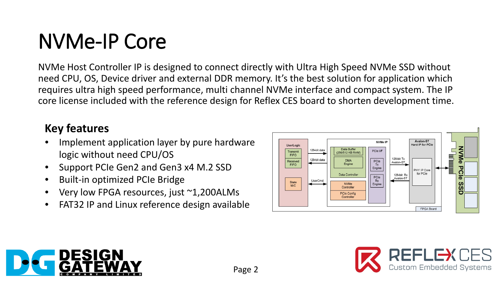# NVMe-IP Core

NVMe Host Controller IP is designed to connect directly with Ultra High Speed NVMe SSD without need CPU, OS, Device driver and external DDR memory. It's the best solution for application which requires ultra high speed performance, multi channel NVMe interface and compact system. The IP core license included with the reference design for Reflex CES board to shorten development time.

#### **Key features**

- Implement application layer by pure hardware logic without need CPU/OS
- Support PCIe Gen2 and Gen3 x4 M.2 SSD
- Built-in optimized PCIe Bridge
- Very low FPGA resources, just ~1,200ALMs
- FAT32 IP and Linux reference design available





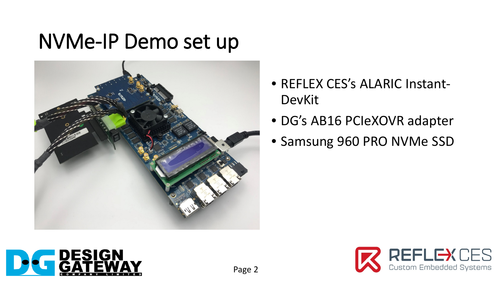## NVMe-IP Demo set up



- REFLEX CES's ALARIC Instant-DevKit
- DG's AB16 PCIeXOVR adapter
- Samsung 960 PRO NVMe SSD



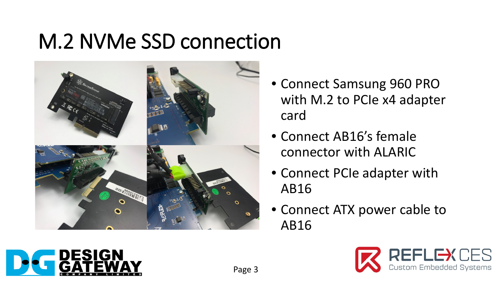# M.2 NVMe SSD connection



- Connect Samsung 960 PRO with M.2 to PCIe x4 adapter card
- Connect AB16's female connector with ALARIC
- Connect PCIe adapter with AB16
- Connect ATX power cable to AB16